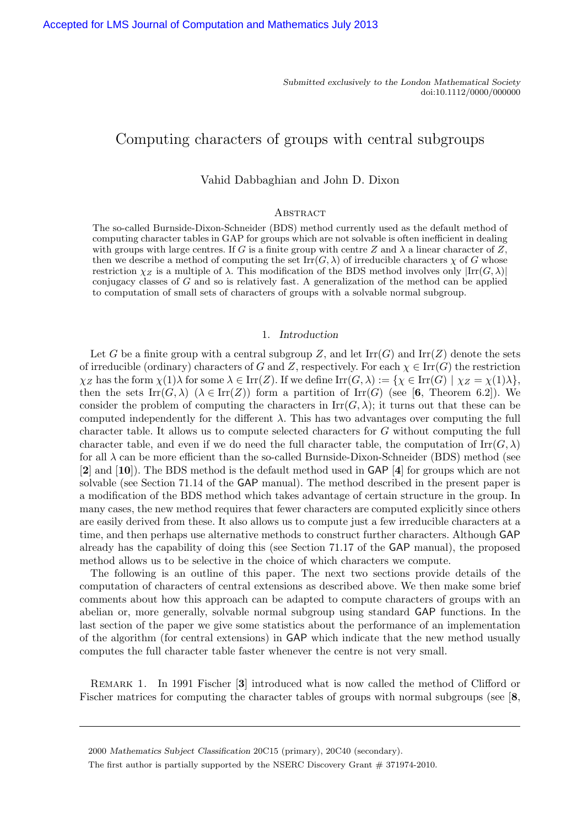# Computing characters of groups with central subgroups

# Vahid Dabbaghian and John D. Dixon

# **ABSTRACT**

The so-called Burnside-Dixon-Schneider (BDS) method currently used as the default method of computing character tables in GAP for groups which are not solvable is often inefficient in dealing with groups with large centres. If G is a finite group with centre Z and  $\lambda$  a linear character of Z, then we describe a method of computing the set  $\text{Irr}(G, \lambda)$  of irreducible characters  $\chi$  of G whose restriction  $\chi_Z$  is a multiple of  $\lambda$ . This modification of the BDS method involves only  $\text{Irr}(G,\lambda)$ conjugacy classes of G and so is relatively fast. A generalization of the method can be applied to computation of small sets of characters of groups with a solvable normal subgroup.

#### 1. Introduction

Let G be a finite group with a central subgroup Z, and let  $\text{Irr}(G)$  and  $\text{Irr}(Z)$  denote the sets of irreducible (ordinary) characters of G and Z, respectively. For each  $\chi \in \text{Irr}(G)$  the restriction  $\chi_Z$  has the form  $\chi(1)\lambda$  for some  $\lambda \in \text{Irr}(Z)$ . If we define  $\text{Irr}(G,\lambda) := {\chi \in \text{Irr}(G) \mid \chi_Z = \chi(1)\lambda}$ , then the sets  $\text{Irr}(G, \lambda)$   $(\lambda \in \text{Irr}(Z))$  form a partition of  $\text{Irr}(G)$  (see [6, Theorem 6.2]). We consider the problem of computing the characters in  $\mathrm{Irr}(G,\lambda)$ ; it turns out that these can be computed independently for the different  $\lambda$ . This has two advantages over computing the full character table. It allows us to compute selected characters for G without computing the full character table, and even if we do need the full character table, the computation of  $\text{Irr}(G, \lambda)$ for all  $\lambda$  can be more efficient than the so-called Burnside-Dixon-Schneider (BDS) method (see [2] and [10]). The BDS method is the default method used in GAP [4] for groups which are not solvable (see Section 71.14 of the GAP manual). The method described in the present paper is a modification of the BDS method which takes advantage of certain structure in the group. In many cases, the new method requires that fewer characters are computed explicitly since others are easily derived from these. It also allows us to compute just a few irreducible characters at a time, and then perhaps use alternative methods to construct further characters. Although GAP already has the capability of doing this (see Section 71.17 of the GAP manual), the proposed method allows us to be selective in the choice of which characters we compute.

The following is an outline of this paper. The next two sections provide details of the computation of characters of central extensions as described above. We then make some brief comments about how this approach can be adapted to compute characters of groups with an abelian or, more generally, solvable normal subgroup using standard GAP functions. In the last section of the paper we give some statistics about the performance of an implementation of the algorithm (for central extensions) in GAP which indicate that the new method usually computes the full character table faster whenever the centre is not very small.

Remark 1. In 1991 Fischer [3] introduced what is now called the method of Clifford or Fischer matrices for computing the character tables of groups with normal subgroups (see [8,

<sup>2000</sup> Mathematics Subject Classification 20C15 (primary), 20C40 (secondary).

The first author is partially supported by the NSERC Discovery Grant # 371974-2010.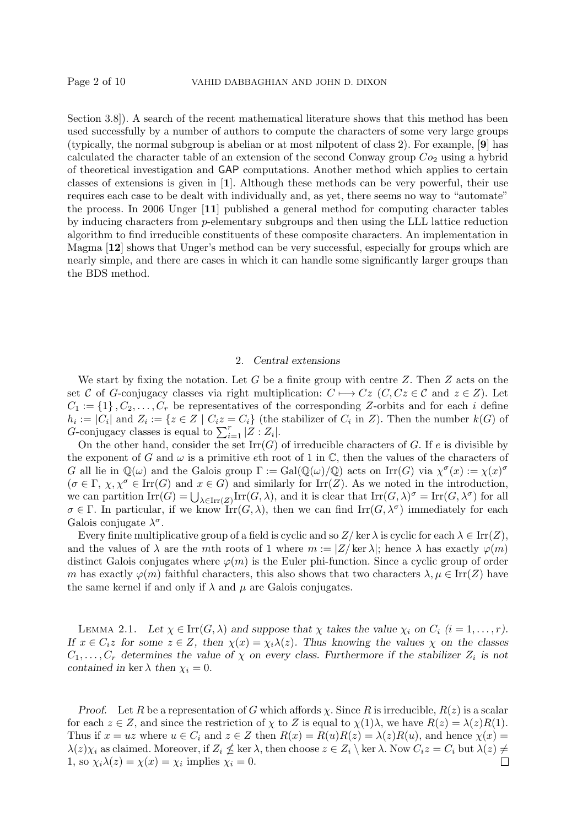Section 3.8]). A search of the recent mathematical literature shows that this method has been used successfully by a number of authors to compute the characters of some very large groups (typically, the normal subgroup is abelian or at most nilpotent of class 2). For example, [9] has calculated the character table of an extension of the second Conway group  $Co<sub>2</sub>$  using a hybrid of theoretical investigation and GAP computations. Another method which applies to certain classes of extensions is given in [1]. Although these methods can be very powerful, their use requires each case to be dealt with individually and, as yet, there seems no way to "automate" the process. In 2006 Unger [11] published a general method for computing character tables by inducing characters from p-elementary subgroups and then using the LLL lattice reduction algorithm to find irreducible constituents of these composite characters. An implementation in Magma [12] shows that Unger's method can be very successful, especially for groups which are nearly simple, and there are cases in which it can handle some significantly larger groups than the BDS method.

### 2. Central extensions

We start by fixing the notation. Let  $G$  be a finite group with centre  $Z$ . Then  $Z$  acts on the set C of G-conjugacy classes via right multiplication:  $C \mapsto Cz$  (C,  $Cz \in C$  and  $z \in Z$ ). Let  $C_1 := \{1\}, C_2, \ldots, C_r$  be representatives of the corresponding Z-orbits and for each i define  $h_i := |C_i|$  and  $Z_i := \{z \in Z \mid C_i z = C_i\}$  (the stabilizer of  $C_i$  in  $Z$ ). Then the number  $k(G)$  of G-conjugacy classes is equal to  $\sum_{i=1}^{r} |Z : Z_i|$ .

On the other hand, consider the set  $\mathrm{Irr}(G)$  of irreducible characters of G. If e is divisible by the exponent of G and  $\omega$  is a primitive eth root of 1 in  $\mathbb C$ , then the values of the characters of G all lie in  $\mathbb{Q}(\omega)$  and the Galois group  $\Gamma := \text{Gal}(\mathbb{Q}(\omega)/\mathbb{Q})$  acts on  $\text{Irr}(G)$  via  $\chi^{\sigma}(x) := \chi(x)^{\sigma}$  $(\sigma \in \Gamma, \chi, \chi^{\sigma} \in \text{Irr}(G)$  and  $x \in G)$  and similarly for Irr(Z). As we noted in the introduction, we can partition  $\text{Irr}(G) = \bigcup_{\lambda \in \text{Irr}(Z)} \text{Irr}(G, \lambda)$ , and it is clear that  $\text{Irr}(G, \lambda)^{\sigma} = \text{Irr}(G, \lambda^{\sigma})$  for all  $\sigma \in \Gamma$ . In particular, if we know  $\mathrm{Irr}(G,\lambda)$ , then we can find  $\mathrm{Irr}(G,\lambda^{\sigma})$  immediately for each Galois conjugate  $\lambda^{\sigma}$ .

Every finite multiplicative group of a field is cyclic and so  $Z/\text{ker }\lambda$  is cyclic for each  $\lambda \in \text{Irr}(Z)$ , and the values of  $\lambda$  are the mth roots of 1 where  $m := |Z| \ker \lambda|$ ; hence  $\lambda$  has exactly  $\varphi(m)$ distinct Galois conjugates where  $\varphi(m)$  is the Euler phi-function. Since a cyclic group of order m has exactly  $\varphi(m)$  faithful characters, this also shows that two characters  $\lambda, \mu \in \text{Irr}(Z)$  have the same kernel if and only if  $\lambda$  and  $\mu$  are Galois conjugates.

LEMMA 2.1. Let  $\chi \in \text{Irr}(G, \lambda)$  and suppose that  $\chi$  takes the value  $\chi_i$  on  $C_i$   $(i = 1, \ldots, r)$ . If  $x \in C_i$  for some  $z \in Z$ , then  $\chi(x) = \chi_i \lambda(z)$ . Thus knowing the values  $\chi$  on the classes  $C_1, \ldots, C_r$  determines the value of  $\chi$  on every class. Furthermore if the stabilizer  $Z_i$  is not contained in ker  $\lambda$  then  $\chi_i = 0$ .

Proof. Let R be a representation of G which affords  $\chi$ . Since R is irreducible,  $R(z)$  is a scalar for each  $z \in Z$ , and since the restriction of  $\chi$  to Z is equal to  $\chi(1)\lambda$ , we have  $R(z) = \lambda(z)R(1)$ . Thus if  $x = uz$  where  $u \in C_i$  and  $z \in Z$  then  $R(x) = R(u)R(z) = \lambda(z)R(u)$ , and hence  $\chi(x) =$  $\lambda(z)\chi_i$  as claimed. Moreover, if  $Z_i \nleq \ker \lambda$ , then choose  $z \in Z_i \setminus \ker \lambda$ . Now  $C_iz = C_i$  but  $\lambda(z) \neq \emptyset$ 1, so  $\chi_i \lambda(z) = \chi(x) = \chi_i$  implies  $\chi_i = 0$ .  $\Box$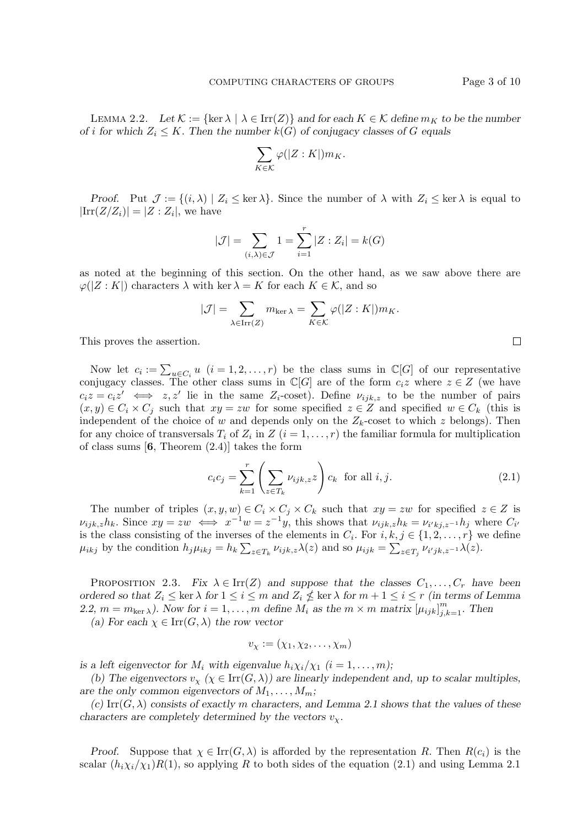LEMMA 2.2. Let  $\mathcal{K} := \{ \ker \lambda \mid \lambda \in \text{Irr}(Z) \}$  and for each  $K \in \mathcal{K}$  define  $m_K$  to be the number of i for which  $Z_i \leq K$ . Then the number  $k(G)$  of conjugacy classes of G equals

$$
\sum_{K \in \mathcal{K}} \varphi(|Z : K|) m_K.
$$

Proof. Put  $\mathcal{J} := \{(i, \lambda) \mid Z_i \leq \ker \lambda\}$ . Since the number of  $\lambda$  with  $Z_i \leq \ker \lambda$  is equal to  $|\text{Irr}(Z/Z_i)| = |Z:Z_i|$ , we have

$$
|\mathcal{J}| = \sum_{(i,\lambda)\in\mathcal{J}} 1 = \sum_{i=1}^r |Z : Z_i| = k(G)
$$

as noted at the beginning of this section. On the other hand, as we saw above there are  $\varphi(|Z:K|)$  characters  $\lambda$  with ker  $\lambda = K$  for each  $K \in \mathcal{K}$ , and so

$$
|\mathcal{J}| = \sum_{\lambda \in \text{Irr}(Z)} m_{\text{ker}\,\lambda} = \sum_{K \in \mathcal{K}} \varphi(|Z : K|) m_K.
$$

This proves the assertion.

Now let  $c_i := \sum_{u \in C_i} u_i$   $(i = 1, 2, ..., r)$  be the class sums in  $\mathbb{C}[G]$  of our representative conjugacy classes. The other class sums in  $\mathbb{C}[G]$  are of the form  $c_i z$  where  $z \in Z$  (we have  $c_i z = c_i z' \iff z, z'$  lie in the same  $Z_i$ -coset). Define  $\nu_{ijk,z}$  to be the number of pairs  $(x, y) \in C_i \times C_j$  such that  $xy = zw$  for some specified  $z \in Z$  and specified  $w \in C_k$  (this is independent of the choice of w and depends only on the  $Z_k$ -coset to which z belongs). Then for any choice of transversals  $T_i$  of  $Z_i$  in  $Z$   $(i = 1, \ldots, r)$  the familiar formula for multiplication of class sums  $[6,$  Theorem  $(2.4)$  takes the form

$$
c_i c_j = \sum_{k=1}^r \left( \sum_{z \in T_k} \nu_{ijk,z} z \right) c_k \text{ for all } i, j.
$$
 (2.1)

The number of triples  $(x, y, w) \in C_i \times C_j \times C_k$  such that  $xy = zw$  for specified  $z \in Z$  is  $\nu_{ijk,z}h_k$ . Since  $xy = zw \iff x^{-1}w = z^{-1}y$ , this shows that  $\nu_{ijk,z}h_k = \nu_{i'kj,z^{-1}}h_j$  where  $C_{i'}$ is the class consisting of the inverses of the elements in  $C_i$ . For  $i, k, j \in \{1, 2, ..., r\}$  we define  $\mu_{ikj}$  by the condition  $h_j\mu_{ikj} = h_k \sum_{z \in T_k} \nu_{ijk,z} \lambda(z)$  and so  $\mu_{ijk} = \sum_{z \in T_j} \nu_{i'jk,z^{-1}} \lambda(z)$ .

PROPOSITION 2.3. Fix  $\lambda \in \text{Irr}(Z)$  and suppose that the classes  $C_1, \ldots, C_r$  have been ordered so that  $Z_i \leq \ker \lambda$  for  $1 \leq i \leq m$  and  $Z_i \nleq \ker \lambda$  for  $m + 1 \leq i \leq r$  (in terms of Lemma 2.2,  $m = m_{\text{ker }\lambda}$ ). Now for  $i = 1, ..., m$  define  $M_i$  as the  $m \times m$  matrix  $[\mu_{ijk}]_{j,k=1}^m$ . Then (a) For each  $\chi \in \text{Irr}(G, \lambda)$  the row vector

$$
v_{\chi} := (\chi_1, \chi_2, \ldots, \chi_m)
$$

is a left eigenvector for  $M_i$  with eigenvalue  $h_i \chi_i / \chi_1$   $(i = 1, \ldots, m)$ ;

(b) The eigenvectors  $v_x$  ( $\chi \in \text{Irr}(G, \lambda)$ ) are linearly independent and, up to scalar multiples, are the only common eigenvectors of  $M_1, \ldots, M_m$ ;

(c) Irr( $G$ ,  $\lambda$ ) consists of exactly m characters, and Lemma 2.1 shows that the values of these characters are completely determined by the vectors  $v_x$ .

*Proof.* Suppose that  $\chi \in \text{Irr}(G, \lambda)$  is afforded by the representation R. Then  $R(c_i)$  is the scalar  $(h_i\chi_i/\chi_1)R(1)$ , so applying R to both sides of the equation (2.1) and using Lemma 2.1

 $\Box$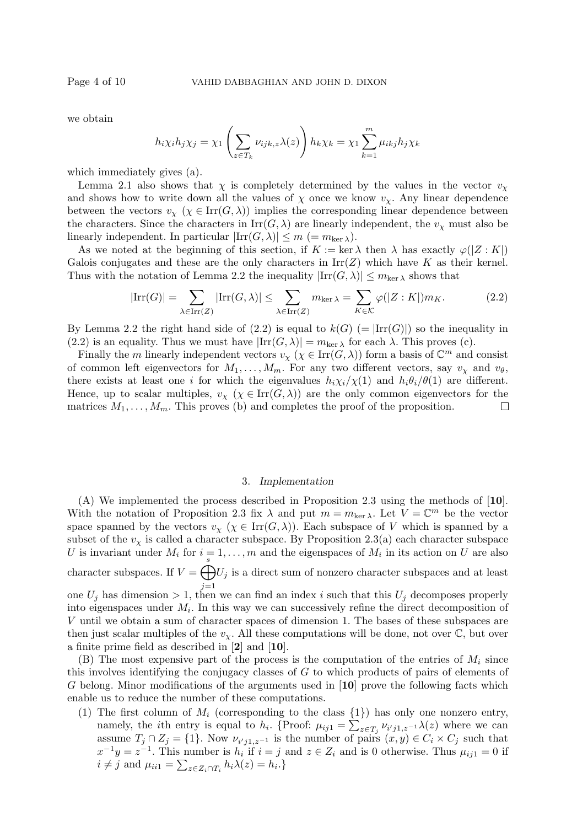we obtain

$$
h_i \chi_i h_j \chi_j = \chi_1 \left( \sum_{z \in T_k} \nu_{ijk,z} \lambda(z) \right) h_k \chi_k = \chi_1 \sum_{k=1}^m \mu_{ikj} h_j \chi_k
$$

which immediately gives (a).

Lemma 2.1 also shows that  $\chi$  is completely determined by the values in the vector  $v_{\chi}$ and shows how to write down all the values of  $\chi$  once we know  $v_{\chi}$ . Any linear dependence between the vectors  $v_\chi$  ( $\chi \in \text{Irr}(G,\lambda)$ ) implies the corresponding linear dependence between the characters. Since the characters in  $\text{Irr}(G, \lambda)$  are linearly independent, the  $v_\chi$  must also be linearly independent. In particular  $|\text{Irr}(G,\lambda)| \leq m$  (=  $m_{\text{ker }\lambda}$ ).

As we noted at the beginning of this section, if  $K := \ker \lambda$  then  $\lambda$  has exactly  $\varphi(|Z : K|)$ Galois conjugates and these are the only characters in  $\text{Irr}(Z)$  which have K as their kernel. Thus with the notation of Lemma 2.2 the inequality  $|\text{Irr}(G,\lambda)| \leq m_{\text{ker }\lambda}$  shows that

$$
|\mathrm{Irr}(G)| = \sum_{\lambda \in \mathrm{Irr}(Z)} |\mathrm{Irr}(G,\lambda)| \le \sum_{\lambda \in \mathrm{Irr}(Z)} m_{\mathrm{ker}\,\lambda} = \sum_{K \in \mathcal{K}} \varphi(|Z:K|) m_K. \tag{2.2}
$$

By Lemma 2.2 the right hand side of (2.2) is equal to  $k(G)$  (=  $\text{Irr}(G)$ ) so the inequality in (2.2) is an equality. Thus we must have  $|\text{Irr}(G,\lambda)| = m_{\text{ker }\lambda}$  for each  $\lambda$ . This proves (c).

Finally the m linearly independent vectors  $v_{\chi}$  ( $\chi \in \text{Irr}(G,\lambda)$ ) form a basis of  $\mathbb{C}^m$  and consist of common left eigenvectors for  $M_1, \ldots, M_m$ . For any two different vectors, say  $v_\chi$  and  $v_\theta$ , there exists at least one i for which the eigenvalues  $h_i\chi_i/\chi(1)$  and  $h_i\theta_i/\theta(1)$  are different. Hence, up to scalar multiples,  $v_{\chi}$  ( $\chi \in \text{Irr}(G,\lambda)$ ) are the only common eigenvectors for the matrices  $M_1, \ldots, M_m$ . This proves (b) and completes the proof of the proposition. □

#### 3. Implementation

(A) We implemented the process described in Proposition 2.3 using the methods of [10]. With the notation of Proposition 2.3 fix  $\lambda$  and put  $m = m_{\text{ker }\lambda}$ . Let  $V = \mathbb{C}^m$  be the vector space spanned by the vectors  $v_{\chi}$  ( $\chi \in \text{Irr}(G,\lambda)$ ). Each subspace of V which is spanned by a subset of the  $v_x$  is called a character subspace. By Proposition 2.3(a) each character subspace U is invariant under  $M_i$  for  $i = 1, \ldots, m$  and the eigenspaces of  $M_i$  in its action on U are also character subspaces. If  $V = \bigoplus_{j=1}^{s} V_j$  is a direct sum of nonzero character subspaces and at least  $j=1$ one  $U_j$  has dimension  $> 1$ , then we can find an index i such that this  $U_j$  decomposes properly

into eigenspaces under  $M_i$ . In this way we can successively refine the direct decomposition of V until we obtain a sum of character spaces of dimension 1. The bases of these subspaces are then just scalar multiples of the  $v_{\chi}$ . All these computations will be done, not over  $\mathbb{C}$ , but over a finite prime field as described in [2] and [10].

(B) The most expensive part of the process is the computation of the entries of  $M_i$  since this involves identifying the conjugacy classes of G to which products of pairs of elements of G belong. Minor modifications of the arguments used in [10] prove the following facts which enable us to reduce the number of these computations.

(1) The first column of  $M_i$  (corresponding to the class  $\{1\}$ ) has only one nonzero entry, namely, the *i*th entry is equal to  $h_i$ . {Proof:  $\mu_{ij1} = \sum_{z \in T_j} \nu_{i'j1,z^{-1}} \lambda(z)$  where we can assume  $T_j \cap Z_j = \{1\}$ . Now  $\nu_{i'j1,z^{-1}}$  is the number of pairs  $(x,y) \in C_i \times C_j$  such that  $x^{-1}y = z^{-1}$ . This number is  $h_i$  if  $i = j$  and  $z \in Z_i$  and is 0 otherwise. Thus  $\mu_{ij1} = 0$  if  $i \neq j$  and  $\mu_{ii1} = \sum_{z \in Z_i \cap T_i} h_i \lambda(z) = h_i.$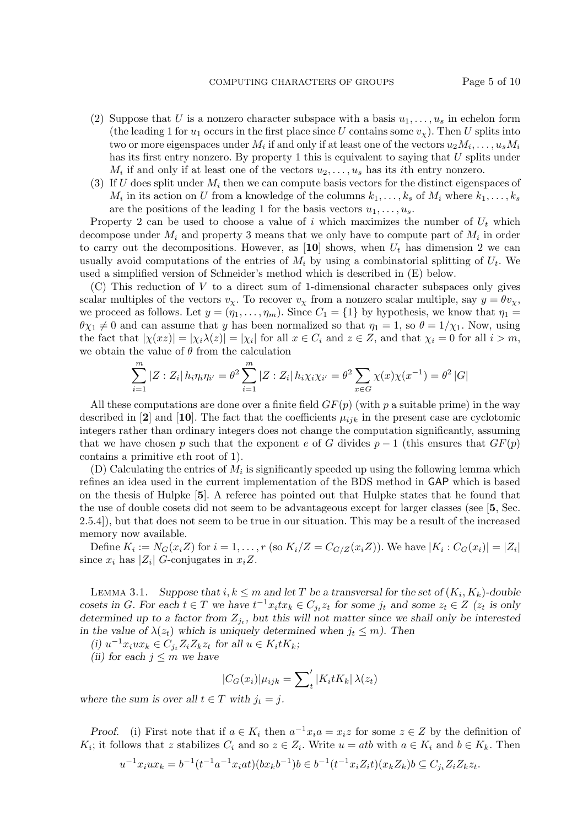- (2) Suppose that U is a nonzero character subspace with a basis  $u_1, \ldots, u_s$  in echelon form (the leading 1 for  $u_1$  occurs in the first place since U contains some  $v_\chi$ ). Then U splits into two or more eigenspaces under  $M_i$  if and only if at least one of the vectors  $u_2M_i, \ldots, u_sM_i$ has its first entry nonzero. By property 1 this is equivalent to saying that  $U$  splits under  $M_i$  if and only if at least one of the vectors  $u_2, \ldots, u_s$  has its *i*th entry nonzero.
- (3) If U does split under  $M_i$  then we can compute basis vectors for the distinct eigenspaces of  $M_i$  in its action on U from a knowledge of the columns  $k_1, \ldots, k_s$  of  $M_i$  where  $k_1, \ldots, k_s$ are the positions of the leading 1 for the basis vectors  $u_1, \ldots, u_s$ .

Property 2 can be used to choose a value of i which maximizes the number of  $U_t$  which decompose under  $M_i$  and property 3 means that we only have to compute part of  $M_i$  in order to carry out the decompositions. However, as [10] shows, when  $U_t$  has dimension 2 we can usually avoid computations of the entries of  $M_i$  by using a combinatorial splitting of  $U_t$ . We used a simplified version of Schneider's method which is described in (E) below.

(C) This reduction of V to a direct sum of 1-dimensional character subspaces only gives scalar multiples of the vectors  $v_x$ . To recover  $v_x$  from a nonzero scalar multiple, say  $y = \theta v_x$ , we proceed as follows. Let  $y = (\eta_1, \ldots, \eta_m)$ . Since  $C_1 = \{1\}$  by hypothesis, we know that  $\eta_1 =$  $\theta \chi_1 \neq 0$  and can assume that y has been normalized so that  $\eta_1 = 1$ , so  $\theta = 1/\chi_1$ . Now, using the fact that  $|\chi(xz)| = |\chi_i\lambda(z)| = |\chi_i|$  for all  $x \in C_i$  and  $z \in Z$ , and that  $\chi_i = 0$  for all  $i > m$ , we obtain the value of  $\theta$  from the calculation

$$
\sum_{i=1}^{m} |Z : Z_i | h_i \eta_i \eta_{i'} = \theta^2 \sum_{i=1}^{m} |Z : Z_i | h_i \chi_i \chi_{i'} = \theta^2 \sum_{x \in G} \chi(x) \chi(x^{-1}) = \theta^2 |G|
$$

All these computations are done over a finite field  $GF(p)$  (with p a suitable prime) in the way described in [2] and [10]. The fact that the coefficients  $\mu_{ijk}$  in the present case are cyclotomic integers rather than ordinary integers does not change the computation significantly, assuming that we have chosen p such that the exponent e of G divides  $p-1$  (this ensures that  $GF(p)$ ) contains a primitive eth root of 1).

(D) Calculating the entries of  $M_i$  is significantly speeded up using the following lemma which refines an idea used in the current implementation of the BDS method in GAP which is based on the thesis of Hulpke [5]. A referee has pointed out that Hulpke states that he found that the use of double cosets did not seem to be advantageous except for larger classes (see [5, Sec. 2.5.4]), but that does not seem to be true in our situation. This may be a result of the increased memory now available.

Define  $K_i := N_G(x_i Z)$  for  $i = 1, ..., r$  (so  $K_i/Z = C_{G/Z}(x_i Z)$ ). We have  $|K_i : C_G(x_i)| = |Z_i|$ since  $x_i$  has  $|Z_i|$  G-conjugates in  $x_iZ$ .

LEMMA 3.1. Suppose that  $i, k \leq m$  and let T be a transversal for the set of  $(K_i, K_k)$ -double cosets in G. For each  $t \in T$  we have  $t^{-1}x_i tx_k \in C_{j_t}z_t$  for some  $j_t$  and some  $z_t \in Z$   $(z_t$  is only determined up to a factor from  $Z_{j_t}$ , but this will not matter since we shall only be interested in the value of  $\lambda(z_t)$  which is uniquely determined when  $j_t \leq m$ ). Then

(i)  $u^{-1}x_iux_k \in C_{j_t}Z_iZ_kz_t$  for all  $u \in K_i tK_k$ ;

(ii) for each  $j \leq m$  we have

$$
|C_G(x_i)|\mu_{ijk} = \sum_{t}^{\prime} |K_i t K_k| \lambda(z_t)
$$

where the sum is over all  $t \in T$  with  $j_t = j$ .

Proof. (i) First note that if  $a \in K_i$  then  $a^{-1}x_ia = x_iz$  for some  $z \in Z$  by the definition of  $K_i$ ; it follows that z stabilizes  $C_i$  and so  $z \in Z_i$ . Write  $u = atb$  with  $a \in K_i$  and  $b \in K_k$ . Then

$$
u^{-1}x_iux_k = b^{-1}(t^{-1}a^{-1}x_iat)(bx_kb^{-1})b \in b^{-1}(t^{-1}x_iZ_it)(x_kZ_k)b \subseteq C_{j_t}Z_iZ_kz_t.
$$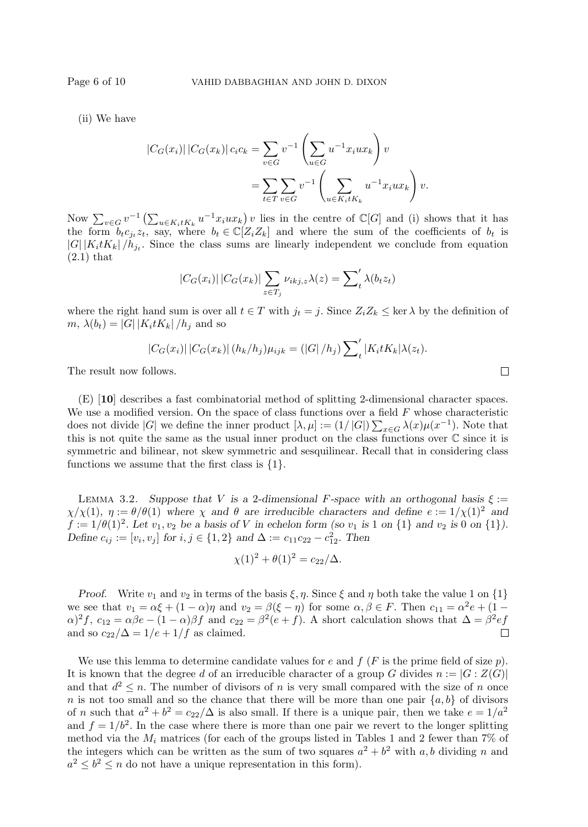(ii) We have

$$
|C_G(x_i)| |C_G(x_k)| c_i c_k = \sum_{v \in G} v^{-1} \left( \sum_{u \in G} u^{-1} x_i u x_k \right) v
$$
  
= 
$$
\sum_{t \in T} \sum_{v \in G} v^{-1} \left( \sum_{u \in K_i t K_k} u^{-1} x_i u x_k \right) v.
$$

Now  $\sum_{v\in G} v^{-1} \left( \sum_{u\in K_i t K_k} u^{-1} x_i u x_k \right) v$  lies in the centre of  $\mathbb{C}[G]$  and (i) shows that it has the form  $b_t c_{j_t} z_t$ , say, where  $b_t \in \mathbb{C}[Z_i Z_k]$  and where the sum of the coefficients of  $b_t$  is  $|G| |K_i t K_k| / h_{j_t}$ . Since the class sums are linearly independent we conclude from equation  $(2.1)$  that

$$
|C_G(x_i)| |C_G(x_k)| \sum_{z \in T_j} \nu_{ikj,z} \lambda(z) = \sum'_{t} \lambda(b_t z_t)
$$

where the right hand sum is over all  $t \in T$  with  $j_t = j$ . Since  $Z_i Z_k \leq \text{ker }\lambda$  by the definition of  $m, \lambda(b_t) = |G| |K_i t K_k| / h_i$  and so

$$
|C_G(x_i)| |C_G(x_k)| (h_k/h_j) \mu_{ijk} = (|G|/h_j) \sum'_{t} |K_i t K_k| \lambda(z_t).
$$

The result now follows.

(E) [10] describes a fast combinatorial method of splitting 2-dimensional character spaces. We use a modified version. On the space of class functions over a field  $F$  whose characteristic does not divide |G| we define the inner product  $[\lambda, \mu] := (1/|G|) \sum_{x \in G} \lambda(x) \mu(x^{-1})$ . Note that this is not quite the same as the usual inner product on the class functions over  $\mathbb C$  since it is symmetric and bilinear, not skew symmetric and sesquilinear. Recall that in considering class functions we assume that the first class is  $\{1\}.$ 

LEMMA 3.2. Suppose that V is a 2-dimensional F-space with an orthogonal basis  $\xi$  :=  $\chi/\chi(1)$ ,  $\eta := \theta/\theta(1)$  where  $\chi$  and  $\theta$  are irreducible characters and define  $e := 1/\chi(1)^2$  and  $f := 1/\theta(1)^2$ . Let  $v_1, v_2$  be a basis of V in echelon form (so  $v_1$  is 1 on {1} and  $v_2$  is 0 on {1}). Define  $c_{ij} := [v_i, v_j]$  for  $i, j \in \{1, 2\}$  and  $\Delta := c_{11}c_{22} - c_{12}^2$ . Then

$$
\chi(1)^{2} + \theta(1)^{2} = c_{22}/\Delta.
$$

*Proof.* Write  $v_1$  and  $v_2$  in terms of the basis  $\xi, \eta$ . Since  $\xi$  and  $\eta$  both take the value 1 on  $\{1\}$ we see that  $v_1 = \alpha \xi + (1 - \alpha)\eta$  and  $v_2 = \beta(\xi - \eta)$  for some  $\alpha, \beta \in F$ . Then  $c_{11} = \alpha^2 e + (1 - \alpha)\eta$  $\alpha$ )<sup>2</sup>f,  $c_{12} = \alpha \beta e - (1 - \alpha) \beta f$  and  $c_{22} = \beta^2 (e + f)$ . A short calculation shows that  $\Delta = \beta^2 e f$ and so  $c_{22}/\Delta = 1/e + 1/f$  as claimed.  $\Box$ 

We use this lemma to determine candidate values for e and  $f(F)$  is the prime field of size p). It is known that the degree d of an irreducible character of a group G divides  $n := |G : Z(G)|$ and that  $d^2 \leq n$ . The number of divisors of n is very small compared with the size of n once n is not too small and so the chance that there will be more than one pair  $\{a, b\}$  of divisors of *n* such that  $a^2 + b^2 = c_{22}/\Delta$  is also small. If there is a unique pair, then we take  $e = 1/a^2$ and  $f = 1/b^2$ . In the case where there is more than one pair we revert to the longer splitting method via the  $M_i$  matrices (for each of the groups listed in Tables 1 and 2 fewer than 7% of the integers which can be written as the sum of two squares  $a^2 + b^2$  with a, b dividing n and  $a^2 \leq b^2 \leq n$  do not have a unique representation in this form).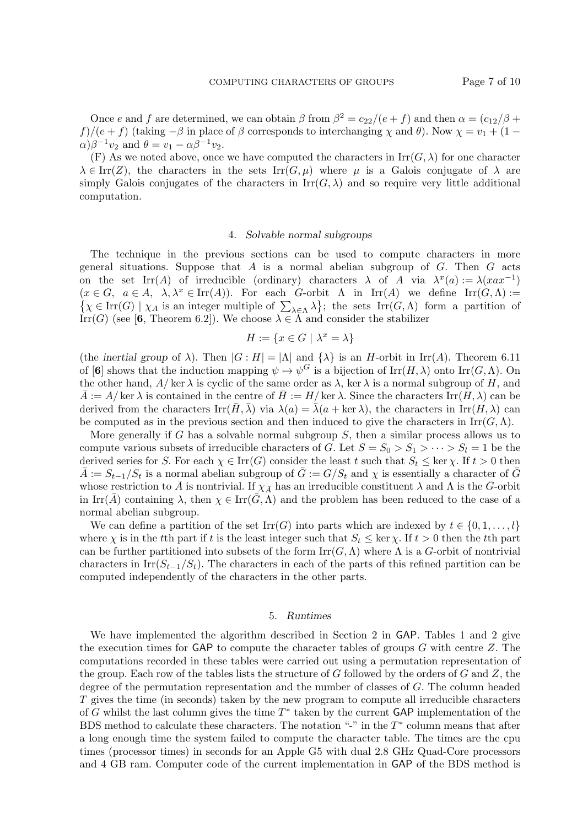Once e and f are determined, we can obtain  $\beta$  from  $\beta^2 = c_{22}/(e+f)$  and then  $\alpha = (c_{12}/\beta +$ f)/(e + f) (taking  $-\beta$  in place of  $\beta$  corresponds to interchanging  $\chi$  and  $\theta$ ). Now  $\chi = v_1 + (1 \alpha$ ) $\beta^{-1}v_2$  and  $\theta = v_1 - \alpha \beta^{-1}v_2$ .

(F) As we noted above, once we have computed the characters in  $\text{Irr}(G, \lambda)$  for one character  $\lambda \in \text{Irr}(Z)$ , the characters in the sets  $\text{Irr}(G,\mu)$  where  $\mu$  is a Galois conjugate of  $\lambda$  are simply Galois conjugates of the characters in  $\text{Irr}(G, \lambda)$  and so require very little additional computation.

# 4. Solvable normal subgroups

The technique in the previous sections can be used to compute characters in more general situations. Suppose that  $A$  is a normal abelian subgroup of  $G$ . Then  $G$  acts on the set  $\text{Irr}(A)$  of irreducible (ordinary) characters  $\lambda$  of A via  $\lambda^x(a) := \lambda(xax^{-1})$  $(x \in G, a \in A, \lambda, \lambda^x \in \text{Irr}(A)).$  For each G-orbit  $\Lambda$  in  $\text{Irr}(A)$  we define  $\text{Irr}(G, \Lambda) :=$  $\{\chi \in \text{Irr}(G) \mid \chi_A \text{ is an integer multiple of } \sum_{\lambda \in \Lambda} \lambda\};\$  the sets  $\text{Irr}(G,\Lambda)$  form a partition of Irr(G) (see [6, Theorem 6.2]). We choose  $\lambda \in \Lambda$  and consider the stabilizer

$$
H := \{ x \in G \mid \lambda^x = \lambda \}
$$

(the inertial group of  $\lambda$ ). Then  $|G : H| = |\Lambda|$  and  $\{\lambda\}$  is an H-orbit in Irr(A). Theorem 6.11 of [6] shows that the induction mapping  $\psi \mapsto \psi^G$  is a bijection of  $\text{Irr}(H, \lambda)$  onto  $\text{Irr}(G, \Lambda)$ . On the other hand,  $A/\text{ker }\lambda$  is cyclic of the same order as  $\lambda$ , ker  $\lambda$  is a normal subgroup of H, and  $\overline{A} := A/\ker \lambda$  is contained in the centre of  $\overline{H} := H/\ker \lambda$ . Since the characters  $\text{Irr}(H, \lambda)$  can be derived from the characters  $\text{Irr}(\bar{H}, \bar{\lambda})$  via  $\lambda(a) = \bar{\lambda}(a + \text{ker }\lambda)$ , the characters in  $\text{Irr}(H, \lambda)$  can be computed as in the previous section and then induced to give the characters in Irr( $G, \Lambda$ ).

More generally if G has a solvable normal subgroup  $S$ , then a similar process allows us to compute various subsets of irreducible characters of G. Let  $S = S_0 > S_1 > \cdots > S_l = 1$  be the derived series for S. For each  $\chi \in \text{Irr}(G)$  consider the least t such that  $S_t \leq \ker \chi$ . If  $t > 0$  then  $\bar{A} := S_{t-1}/S_t$  is a normal abelian subgroup of  $\bar{G} := G/S_t$  and  $\chi$  is essentially a character of  $\bar{G}$ whose restriction to  $\bar{A}$  is nontrivial. If  $\chi_{\bar{A}}$  has an irreducible constituent  $\lambda$  and  $\Lambda$  is the  $\bar{G}$ -orbit in Irr( $\bar{A}$ ) containing  $\lambda$ , then  $\chi \in \text{Irr}(\bar{G}, \Lambda)$  and the problem has been reduced to the case of a normal abelian subgroup.

We can define a partition of the set  $\text{Irr}(G)$  into parts which are indexed by  $t \in \{0, 1, \ldots, l\}$ where  $\chi$  is in the tth part if t is the least integer such that  $S_t \leq \ker \chi$ . If  $t > 0$  then the tth part can be further partitioned into subsets of the form  $\mathrm{Irr}(G,\Lambda)$  where  $\Lambda$  is a G-orbit of nontrivial characters in Irr $(S_{t-1}/S_t)$ . The characters in each of the parts of this refined partition can be computed independently of the characters in the other parts.

#### 5. Runtimes

We have implemented the algorithm described in Section 2 in GAP. Tables 1 and 2 give the execution times for GAP to compute the character tables of groups  $G$  with centre  $Z$ . The computations recorded in these tables were carried out using a permutation representation of the group. Each row of the tables lists the structure of G followed by the orders of G and Z, the degree of the permutation representation and the number of classes of G. The column headed T gives the time (in seconds) taken by the new program to compute all irreducible characters of G whilst the last column gives the time  $T^*$  taken by the current GAP implementation of the BDS method to calculate these characters. The notation "-" in the  $T^*$  column means that after a long enough time the system failed to compute the character table. The times are the cpu times (processor times) in seconds for an Apple G5 with dual 2.8 GHz Quad-Core processors and 4 GB ram. Computer code of the current implementation in GAP of the BDS method is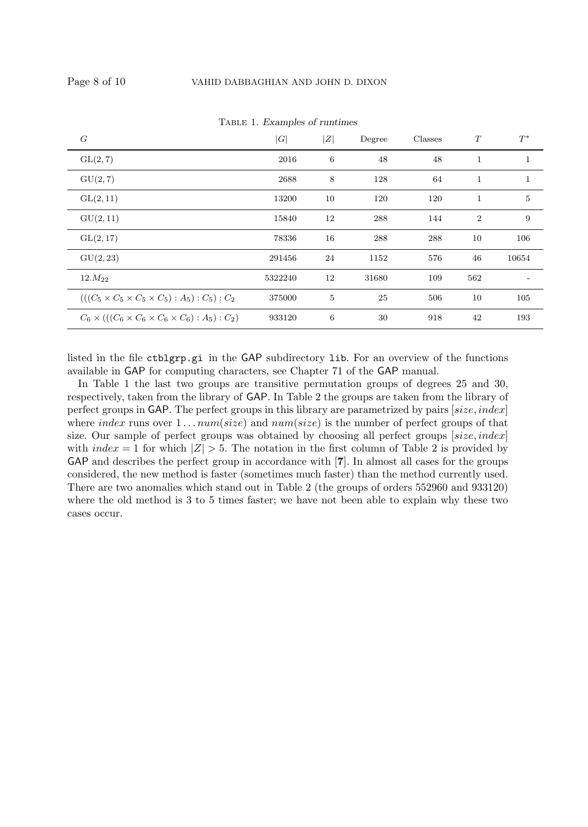| G                                                                  | G       | Z              | Degree | Classes | T              | $T^*$          |
|--------------------------------------------------------------------|---------|----------------|--------|---------|----------------|----------------|
| GL(2,7)                                                            | 2016    | 6              | 48     | 48      | $\mathbf{1}$   | $\mathbf{1}$   |
| GU(2,7)                                                            | 2688    | 8              | 128    | 64      | $\mathbf{1}$   | $\mathbf{1}$   |
| GL(2, 11)                                                          | 13200   | 10             | 120    | 120     | $\mathbf{1}$   | $\overline{5}$ |
| GU(2, 11)                                                          | 15840   | 12             | 288    | 144     | $\overline{2}$ | 9              |
| GL(2, 17)                                                          | 78336   | 16             | 288    | 288     | 10             | 106            |
| GU(2, 23)                                                          | 291456  | 24             | 1152   | 576     | 46             | 10654          |
| $12.M_{22}$                                                        | 5322240 | 12             | 31680  | 109     | 562            |                |
| $(((C_5 \times C_5 \times C_5 \times C_5) : A_5) : C_5) : C_2$     | 375000  | $\overline{5}$ | 25     | 506     | 10             | 105            |
| $C_6 \times ((C_6 \times C_6 \times C_6 \times C_6) : A_5) : C_2)$ | 933120  | 6              | 30     | 918     | 42             | 193            |

TABLE 1. Examples of runtimes

listed in the file ctblgrp.gi in the GAP subdirectory lib. For an overview of the functions available in GAP for computing characters, see Chapter 71 of the GAP manual.

In Table 1 the last two groups are transitive permutation groups of degrees 25 and 30, respectively, taken from the library of GAP. In Table 2 the groups are taken from the library of perfect groups in GAP. The perfect groups in this library are parametrized by pairs  $[size, index]$ where index runs over  $1...num(size)$  and  $num(size)$  is the number of perfect groups of that size. Our sample of perfect groups was obtained by choosing all perfect groups  $[size, index]$ with  $index = 1$  for which  $|Z| > 5$ . The notation in the first column of Table 2 is provided by GAP and describes the perfect group in accordance with [7]. In almost all cases for the groups considered, the new method is faster (sometimes much faster) than the method currently used. There are two anomalies which stand out in Table 2 (the groups of orders 552960 and 933120) where the old method is 3 to 5 times faster; we have not been able to explain why these two cases occur.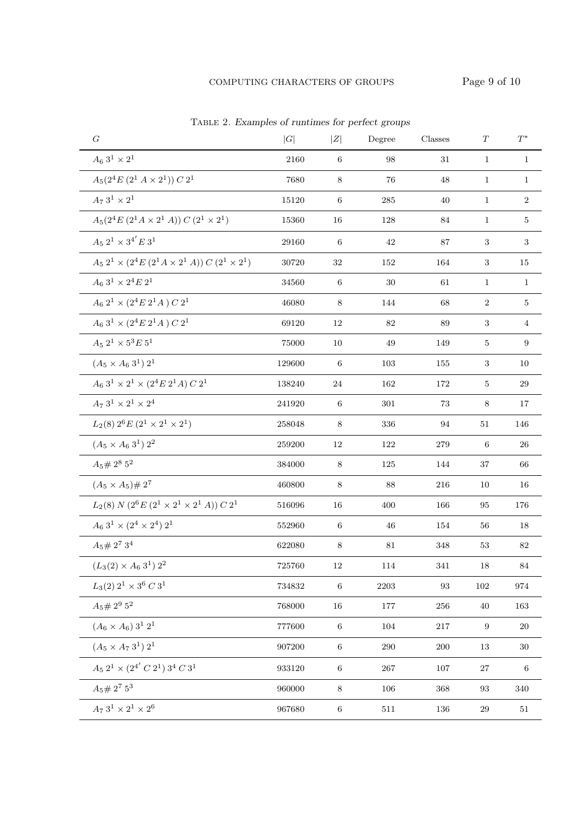| G                                                                                            | G      | Z       | Degree  | Classes | T                | $T^*$          |
|----------------------------------------------------------------------------------------------|--------|---------|---------|---------|------------------|----------------|
| $A_6 3^1 \times 2^1$                                                                         | 2160   | $\,6\,$ | 98      | 31      | $\mathbf{1}$     | $\mathbf{1}$   |
| $A_5(2^4E(2^1A\times 2^1))C2^1$                                                              | 7680   | $\,8\,$ | 76      | 48      | $\mathbf{1}$     | $\mathbf{1}$   |
| $A_7 \ 3^1 \times 2^1$                                                                       | 15120  | 6       | 285     | 40      | $\mathbf{1}$     | 2              |
| $A_5(2^4E (2^1A \times 2^1A)) C (2^1 \times 2^1)$                                            | 15360  | 16      | 128     | 84      | $\mathbf{1}$     | 5              |
| $A_5 2^1 \times 3^{4'} E 3^1$                                                                | 29160  | 6       | 42      | 87      | 3                | 3              |
| $A_5 2^1 \times (2^4 E (2^1 A \times 2^1 A)) C (2^1 \times 2^1)$                             | 30720  | 32      | 152     | 164     | 3                | 15             |
| $A_6\ 3^1\times 2^4E\ 2^1$                                                                   | 34560  | $\,6\,$ | 30      | 61      | $\mathbf{1}$     | $\mathbf{1}$   |
| $A_6 2^1 \times (2^4 E 2^1 A) C 2^1$                                                         | 46080  | 8       | 144     | 68      | $\boldsymbol{2}$ | 5              |
| $A_6$ 3 <sup>1</sup> × (2 <sup>4</sup> E 2 <sup>1</sup> A) C 2 <sup>1</sup>                  | 69120  | 12      | 82      | 89      | 3                | $\overline{4}$ |
| $A_5 2^1 \times 5^3 E 5^1$                                                                   | 75000  | 10      | 49      | 149     | 5                | 9              |
| $(A_5 \times A_6 3^1) 2^1$                                                                   | 129600 | 6       | 103     | 155     | 3                | 10             |
| $A_6$ 3 <sup>1</sup> × 2 <sup>1</sup> × (2 <sup>4</sup> E 2 <sup>1</sup> A) C 2 <sup>1</sup> | 138240 | 24      | 162     | 172     | 5                | 29             |
| $A_7 3^1 \times 2^1 \times 2^4$                                                              | 241920 | 6       | 301     | 73      | 8                | 17             |
| $L_2(8) 2^6 E (2^1 \times 2^1 \times 2^1)$                                                   | 258048 | 8       | 336     | 94      | 51               | 146            |
| $(A_5 \times A_6 3^1) 2^2$                                                                   | 259200 | 12      | 122     | 279     | 6                | 26             |
| $A_5\# \, 2^8$ $5^2$                                                                         | 384000 | 8       | 125     | 144     | 37               | 66             |
| $(A_5 \times A_5) \# 2^7$                                                                    | 460800 | $8\,$   | 88      | 216     | 10               | 16             |
| $L_2(8)$ N $(2^6E (2^1 \times 2^1 \times 2^1 A)) C 2^1$                                      | 516096 | 16      | 400     | 166     | 95               | 176            |
| $A_6$ 3 <sup>1</sup> $\times$ (2 <sup>4</sup> $\times$ 2 <sup>4</sup> ) 2 <sup>1</sup>       | 552960 | 6       | 46      | 154     | 56               | 18             |
| $A_5 \# 2^7 3^4$                                                                             | 622080 | 8       | 81      | 348     | 53               | 82             |
| $(L_3(2) \times A_6 3^1) 2^2$                                                                | 725760 | 12      | 114     | 341     | 18               | 84             |
| $L_3(2)$ $2^1 \times 3^6$ C $3^1$                                                            | 734832 | 6       | 2203    | 93      | 102              | 974            |
| $A_5 \# 2^9 5^2$                                                                             | 768000 | 16      | 177     | 256     | 40               | 163            |
| $(A_6 \times A_6)$ 3 <sup>1</sup> 2 <sup>1</sup>                                             | 777600 | $\,6\,$ | 104     | $217\,$ | 9                | 20             |
| $(A_5 \times A_7~3^1)~2^1$                                                                   | 907200 | $\,6\,$ | 290     | $200\,$ | 13               | $30\,$         |
| $A_5\ 2^1\times (2^{4'}\ C\ 2^1)\ 3^4\ C\ 3^1$                                               | 933120 | $\,6\,$ | $267\,$ | 107     | 27               | 6              |
| $A_5\# \,2^7\ 5^3$                                                                           | 960000 | $\,8\,$ | 106     | 368     | 93               | 340            |
| $A_7 \ 3^1 \times 2^1 \times 2^6$                                                            | 967680 | $\,6\,$ | 511     | 136     | 29               | 51             |

Table 2. Examples of runtimes for perfect groups